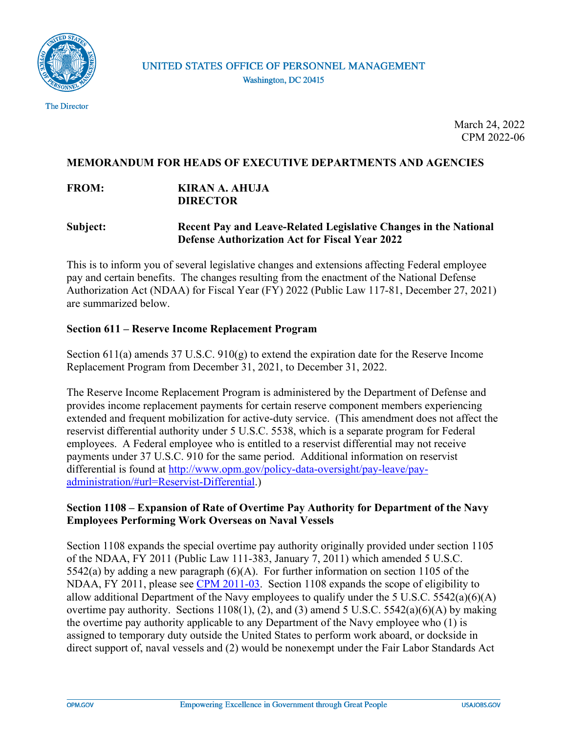

The Director

March 24, 2022 CPM 2022-06

## **MEMORANDUM FOR HEADS OF EXECUTIVE DEPARTMENTS AND AGENCIES**

## **FROM: KIRAN A. AHUJA DIRECTOR**

## **Subject: Recent Pay and Leave-Related Legislative Changes in the National Defense Authorization Act for Fiscal Year 2022**

This is to inform you of several legislative changes and extensions affecting Federal employee pay and certain benefits. The changes resulting from the enactment of the National Defense Authorization Act (NDAA) for Fiscal Year (FY) 2022 (Public Law 117-81, December 27, 2021) are summarized below.

## **Section 611 – Reserve Income Replacement Program**

Section 611(a) amends 37 U.S.C. 910(g) to extend the expiration date for the Reserve Income Replacement Program from December 31, 2021, to December 31, 2022.

The Reserve Income Replacement Program is administered by the Department of Defense and provides income replacement payments for certain reserve component members experiencing extended and frequent mobilization for active-duty service. (This amendment does not affect the reservist differential authority under 5 U.S.C. 5538, which is a separate program for Federal employees. A Federal employee who is entitled to a reservist differential may not receive payments under 37 U.S.C. 910 for the same period. Additional information on reservist differential is found at [http://www.opm.gov/policy-data-oversight/pay-leave/pay](http://www.opm.gov/policy-data-oversight/pay-leave/pay-administration/#url=Reservist-Differential)[administration/#url=Reservist-Differential.](http://www.opm.gov/policy-data-oversight/pay-leave/pay-administration/#url=Reservist-Differential))

# **Section 1108 – Expansion of Rate of Overtime Pay Authority for Department of the Navy Employees Performing Work Overseas on Naval Vessels**

Section 1108 expands the special overtime pay authority originally provided under section 1105 of the NDAA, FY 2011 (Public Law 111-383, January 7, 2011) which amended 5 U.S.C. 5542(a) by adding a new paragraph (6)(A). For further information on section 1105 of the NDAA, FY 2011, please see [CPM 2011-03.](https://www.chcoc.gov/content/recent-pay-related-legislative-changes) Section 1108 expands the scope of eligibility to allow additional Department of the Navy employees to qualify under the 5 U.S.C.  $5542(a)(6)(A)$ overtime pay authority. Sections  $1108(1)$ , (2), and (3) amend 5 U.S.C. 5542(a)(6)(A) by making the overtime pay authority applicable to any Department of the Navy employee who (1) is assigned to temporary duty outside the United States to perform work aboard, or dockside in direct support of, naval vessels and (2) would be nonexempt under the Fair Labor Standards Act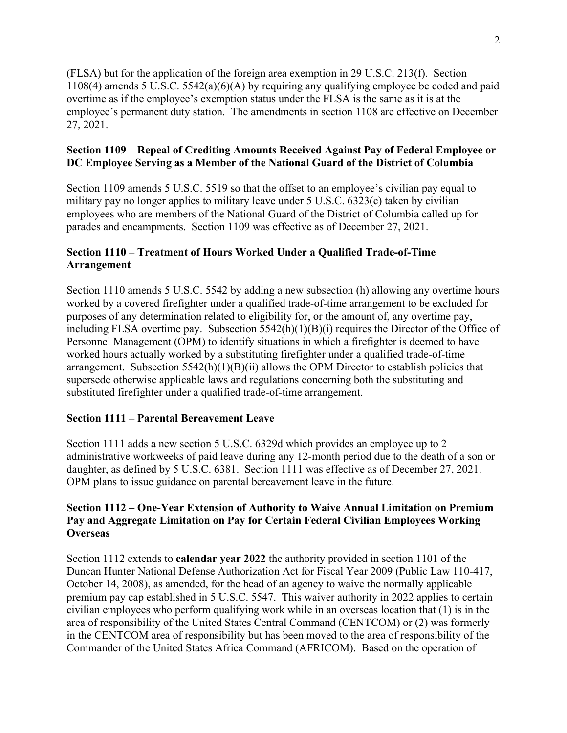(FLSA) but for the application of the foreign area exemption in 29 U.S.C. 213(f). Section 1108(4) amends 5 U.S.C. 5542(a)(6)(A) by requiring any qualifying employee be coded and paid overtime as if the employee's exemption status under the FLSA is the same as it is at the employee's permanent duty station. The amendments in section 1108 are effective on December 27, 2021.

## **Section 1109 – Repeal of Crediting Amounts Received Against Pay of Federal Employee or DC Employee Serving as a Member of the National Guard of the District of Columbia**

Section 1109 amends 5 U.S.C. 5519 so that the offset to an employee's civilian pay equal to military pay no longer applies to military leave under 5 U.S.C. 6323(c) taken by civilian employees who are members of the National Guard of the District of Columbia called up for parades and encampments. Section 1109 was effective as of December 27, 2021.

## **Section 1110 – Treatment of Hours Worked Under a Qualified Trade-of-Time Arrangement**

Section 1110 amends 5 U.S.C. 5542 by adding a new subsection (h) allowing any overtime hours worked by a covered firefighter under a qualified trade-of-time arrangement to be excluded for purposes of any determination related to eligibility for, or the amount of, any overtime pay, including FLSA overtime pay. Subsection 5542(h)(1)(B)(i) requires the Director of the Office of Personnel Management (OPM) to identify situations in which a firefighter is deemed to have worked hours actually worked by a substituting firefighter under a qualified trade-of-time arrangement. Subsection  $5542(h)(1)(B)(ii)$  allows the OPM Director to establish policies that supersede otherwise applicable laws and regulations concerning both the substituting and substituted firefighter under a qualified trade-of-time arrangement.

# **Section 1111 – Parental Bereavement Leave**

Section 1111 adds a new section 5 U.S.C. 6329d which provides an employee up to 2 administrative workweeks of paid leave during any 12-month period due to the death of a son or daughter, as defined by 5 U.S.C. 6381. Section 1111 was effective as of December 27, 2021. OPM plans to issue guidance on parental bereavement leave in the future.

# **Section 1112 – One-Year Extension of Authority to Waive Annual Limitation on Premium Pay and Aggregate Limitation on Pay for Certain Federal Civilian Employees Working Overseas**

Section 1112 extends to **calendar year 2022** the authority provided in section 1101 of the Duncan Hunter National Defense Authorization Act for Fiscal Year 2009 (Public Law 110-417, October 14, 2008), as amended, for the head of an agency to waive the normally applicable premium pay cap established in 5 U.S.C. 5547. This waiver authority in 2022 applies to certain civilian employees who perform qualifying work while in an overseas location that (1) is in the area of responsibility of the United States Central Command (CENTCOM) or (2) was formerly in the CENTCOM area of responsibility but has been moved to the area of responsibility of the Commander of the United States Africa Command (AFRICOM). Based on the operation of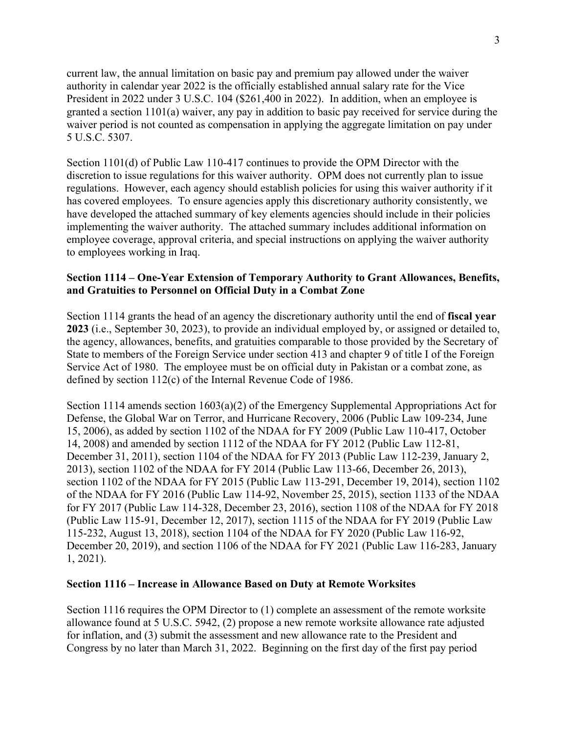current law, the annual limitation on basic pay and premium pay allowed under the waiver authority in calendar year 2022 is the officially established annual salary rate for the Vice President in 2022 under 3 U.S.C. 104 (\$261,400 in 2022). In addition, when an employee is granted a section 1101(a) waiver, any pay in addition to basic pay received for service during the waiver period is not counted as compensation in applying the aggregate limitation on pay under 5 U.S.C. 5307.

Section 1101(d) of Public Law 110-417 continues to provide the OPM Director with the discretion to issue regulations for this waiver authority. OPM does not currently plan to issue regulations. However, each agency should establish policies for using this waiver authority if it has covered employees. To ensure agencies apply this discretionary authority consistently, we have developed the attached summary of key elements agencies should include in their policies implementing the waiver authority. The attached summary includes additional information on employee coverage, approval criteria, and special instructions on applying the waiver authority to employees working in Iraq.

### **Section 1114 – One-Year Extension of Temporary Authority to Grant Allowances, Benefits, and Gratuities to Personnel on Official Duty in a Combat Zone**

Section 1114 grants the head of an agency the discretionary authority until the end of **fiscal year 2023** (i.e., September 30, 2023), to provide an individual employed by, or assigned or detailed to, the agency, allowances, benefits, and gratuities comparable to those provided by the Secretary of State to members of the Foreign Service under section 413 and chapter 9 of title I of the Foreign Service Act of 1980. The employee must be on official duty in Pakistan or a combat zone, as defined by section 112(c) of the Internal Revenue Code of 1986.

Section 1114 amends section 1603(a)(2) of the Emergency Supplemental Appropriations Act for Defense, the Global War on Terror, and Hurricane Recovery, 2006 (Public Law 109-234, June 15, 2006), as added by section 1102 of the NDAA for FY 2009 (Public Law 110-417, October 14, 2008) and amended by section 1112 of the NDAA for FY 2012 (Public Law 112-81, December 31, 2011), section 1104 of the NDAA for FY 2013 (Public Law 112-239, January 2, 2013), section 1102 of the NDAA for FY 2014 (Public Law 113-66, December 26, 2013), section 1102 of the NDAA for FY 2015 (Public Law 113-291, December 19, 2014), section 1102 of the NDAA for FY 2016 (Public Law 114-92, November 25, 2015), section 1133 of the NDAA for FY 2017 (Public Law 114-328, December 23, 2016), section 1108 of the NDAA for FY 2018 (Public Law 115-91, December 12, 2017), section 1115 of the NDAA for FY 2019 (Public Law 115-232, August 13, 2018), section 1104 of the NDAA for FY 2020 (Public Law 116-92, December 20, 2019), and section 1106 of the NDAA for FY 2021 (Public Law 116-283, January 1, 2021).

### **Section 1116 – Increase in Allowance Based on Duty at Remote Worksites**

Section 1116 requires the OPM Director to (1) complete an assessment of the remote worksite allowance found at 5 U.S.C. 5942, (2) propose a new remote worksite allowance rate adjusted for inflation, and (3) submit the assessment and new allowance rate to the President and Congress by no later than March 31, 2022. Beginning on the first day of the first pay period